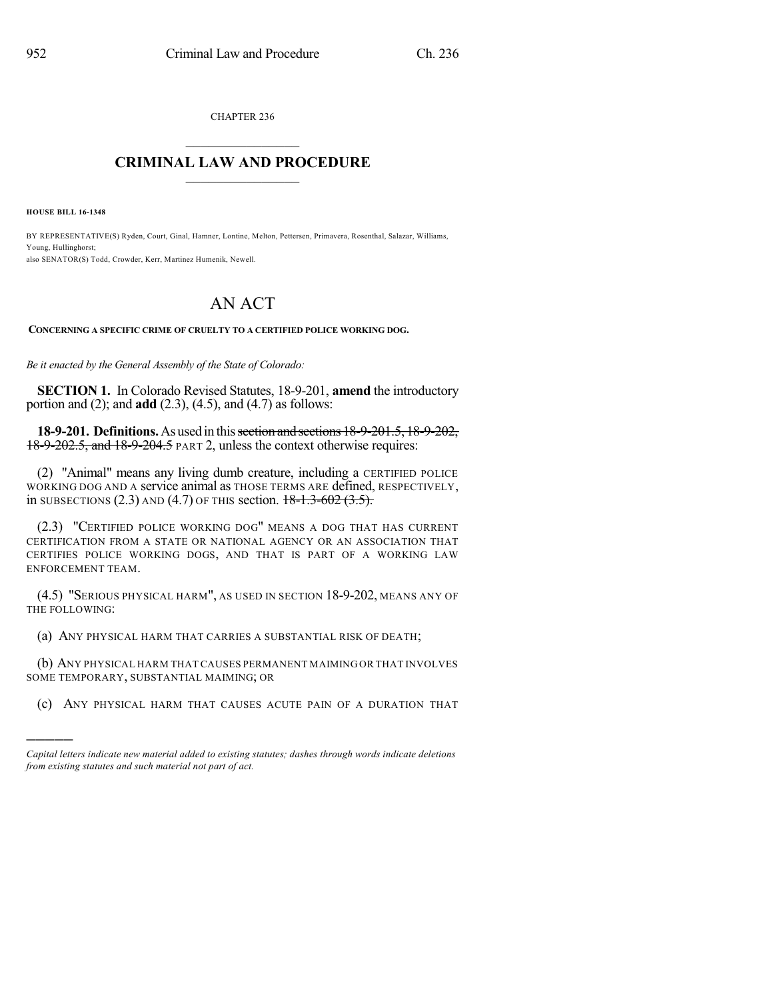CHAPTER 236  $\mathcal{L}_\text{max}$  . The set of the set of the set of the set of the set of the set of the set of the set of the set of the set of the set of the set of the set of the set of the set of the set of the set of the set of the set

## **CRIMINAL LAW AND PROCEDURE**  $\frac{1}{2}$  ,  $\frac{1}{2}$  ,  $\frac{1}{2}$  ,  $\frac{1}{2}$  ,  $\frac{1}{2}$  ,  $\frac{1}{2}$  ,  $\frac{1}{2}$

**HOUSE BILL 16-1348**

)))))

BY REPRESENTATIVE(S) Ryden, Court, Ginal, Hamner, Lontine, Melton, Pettersen, Primavera, Rosenthal, Salazar, Williams, Young, Hullinghorst; also SENATOR(S) Todd, Crowder, Kerr, Martinez Humenik, Newell.

## AN ACT

**CONCERNING A SPECIFIC CRIME OF CRUELTY TO A CERTIFIED POLICE WORKING DOG.**

*Be it enacted by the General Assembly of the State of Colorado:*

**SECTION 1.** In Colorado Revised Statutes, 18-9-201, **amend** the introductory portion and (2); and **add** (2.3), (4.5), and (4.7) as follows:

**18-9-201. Definitions.**As usedin thissection andsections18-9-201.5, 18-9-202, 18-9-202.5, and 18-9-204.5 PART 2, unless the context otherwise requires:

(2) "Animal" means any living dumb creature, including a CERTIFIED POLICE WORKING DOG AND A service animal as THOSE TERMS ARE defined, RESPECTIVELY, in SUBSECTIONS (2.3) AND (4.7) OF THIS section.  $18-1.3-602$  (3.5).

(2.3) "CERTIFIED POLICE WORKING DOG" MEANS A DOG THAT HAS CURRENT CERTIFICATION FROM A STATE OR NATIONAL AGENCY OR AN ASSOCIATION THAT CERTIFIES POLICE WORKING DOGS, AND THAT IS PART OF A WORKING LAW ENFORCEMENT TEAM.

(4.5) "SERIOUS PHYSICAL HARM", AS USED IN SECTION 18-9-202, MEANS ANY OF THE FOLLOWING:

(a) ANY PHYSICAL HARM THAT CARRIES A SUBSTANTIAL RISK OF DEATH;

(b) ANY PHYSICAL HARM THAT CAUSES PERMANENT MAIMING OR THAT INVOLVES SOME TEMPORARY, SUBSTANTIAL MAIMING; OR

(c) ANY PHYSICAL HARM THAT CAUSES ACUTE PAIN OF A DURATION THAT

*Capital letters indicate new material added to existing statutes; dashes through words indicate deletions from existing statutes and such material not part of act.*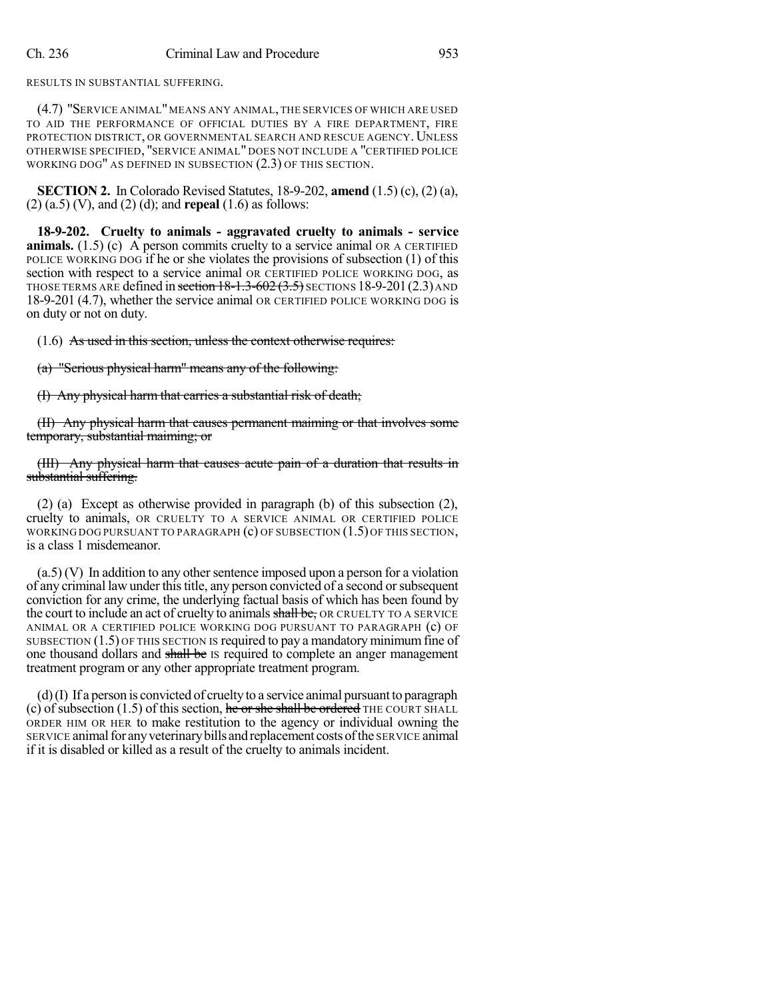RESULTS IN SUBSTANTIAL SUFFERING.

(4.7) "SERVICE ANIMAL"MEANS ANY ANIMAL, THE SERVICES OF WHICH ARE USED TO AID THE PERFORMANCE OF OFFICIAL DUTIES BY A FIRE DEPARTMENT, FIRE PROTECTION DISTRICT, OR GOVERNMENTAL SEARCH AND RESCUE AGENCY. UNLESS OTHERWISE SPECIFIED, "SERVICE ANIMAL" DOES NOT INCLUDE A "CERTIFIED POLICE WORKING DOG" AS DEFINED IN SUBSECTION (2.3) OF THIS SECTION.

**SECTION 2.** In Colorado Revised Statutes, 18-9-202, **amend** (1.5) (c), (2) (a), (2) (a.5) (V), and (2) (d); and **repeal** (1.6) as follows:

**18-9-202. Cruelty to animals - aggravated cruelty to animals - service animals.**  $(1.5)$  (c) A person commits cruelty to a service animal OR A CERTIFIED POLICE WORKING DOG if he or she violates the provisions of subsection (1) of this section with respect to a service animal OR CERTIFIED POLICE WORKING DOG, as THOSE TERMS ARE defined in section  $18-1.3-602(3.5)$  SECTIONS 18-9-201(2.3) AND 18-9-201 (4.7), whether the service animal OR CERTIFIED POLICE WORKING DOG is on duty or not on duty.

(1.6) As used in this section, unless the context otherwise requires:

(a) "Serious physical harm" means any of the following:

(I) Any physical harm that carries a substantial risk of death;

(II) Any physical harm that causes permanent maiming or that involves some temporary, substantial maiming; or

(III) Any physical harm that causes acute pain of a duration that results in substantial suffering.

(2) (a) Except as otherwise provided in paragraph (b) of this subsection (2), cruelty to animals, OR CRUELTY TO A SERVICE ANIMAL OR CERTIFIED POLICE WORKING DOG PURSUANT TO PARAGRAPH  $(c)$  OF SUBSECTION  $(1.5)$  OF THIS SECTION, is a class 1 misdemeanor.

 $(a.5)$  (V) In addition to any other sentence imposed upon a person for a violation of any criminal law under thistitle, any person convicted of a second orsubsequent conviction for any crime, the underlying factual basis of which has been found by the court to include an act of cruelty to animals shall be, OR CRUELTY TO A SERVICE ANIMAL OR A CERTIFIED POLICE WORKING DOG PURSUANT TO PARAGRAPH (c) OF SUBSECTION  $(1.5)$  OF THIS SECTION IS required to pay a mandatory minimum fine of one thousand dollars and shall be Is required to complete an anger management treatment program or any other appropriate treatment program.

(d)(I) If a person is convicted of cruelty to a service animal pursuant to paragraph (c) of subsection  $(1.5)$  of this section, he or she shall be ordered THE COURT SHALL ORDER HIM OR HER to make restitution to the agency or individual owning the SERVICE animal for any veterinary bills and replacement costs of the SERVICE animal if it is disabled or killed as a result of the cruelty to animals incident.